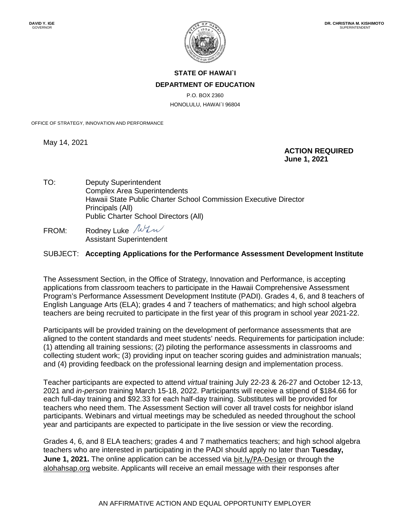

## **STATE OF HAWAI`I DEPARTMENT OF EDUCATION**

P.O. BOX 2360 HONOLULU, HAWAI`I 96804

OFFICE OF STRATEGY, INNOVATION AND PERFORMANCE

May 14, 2021

 **ACTION REQUIRED June 1, 2021**

- TO: Deputy Superintendent Complex Area Superintendents Hawaii State Public Charter School Commission Executive Director Principals (All) Public Charter School Directors (All)
- FROM: Rodney Luke  $\sqrt{W}$ Assistant Superintendent

## SUBJECT: **Accepting Applications for the Performance Assessment Development Institute**

The Assessment Section, in the Office of Strategy, Innovation and Performance, is accepting applications from classroom teachers to participate in the Hawaii Comprehensive Assessment Program's Performance Assessment Development Institute (PADI). Grades 4, 6, and 8 teachers of English Language Arts (ELA); grades 4 and 7 teachers of mathematics; and high school algebra teachers are being recruited to participate in the first year of this program in school year 2021-22.

Participants will be provided training on the development of performance assessments that are aligned to the content standards and meet students' needs. Requirements for participation include: (1) attending all training sessions; (2) piloting the performance assessments in classrooms and collecting student work; (3) providing input on teacher scoring guides and administration manuals; and (4) providing feedback on the professional learning design and implementation process.

Teacher participants are expected to attend *virtual* training July 22-23 & 26-27 and October 12-13, 2021 and *in-person* training March 15-18, 2022. Participants will receive a stipend of \$184.66 for each full-day training and \$92.33 for each half-day training. Substitutes will be provided for teachers who need them. The Assessment Section will cover all travel costs for neighbor island participants. Webinars and virtual meetings may be scheduled as needed throughout the school year and participants are expected to participate in the live session or view the recording.

Grades 4, 6, and 8 ELA teachers; grades 4 and 7 mathematics teachers; and high school algebra teachers who are interested in participating in the PADI should apply no later than **Tuesday, June 1, 2021.** The online application can be accessed via bit.ly/PA-Design or through the alohahsap.org website. Applicants will receive an email message with their responses after